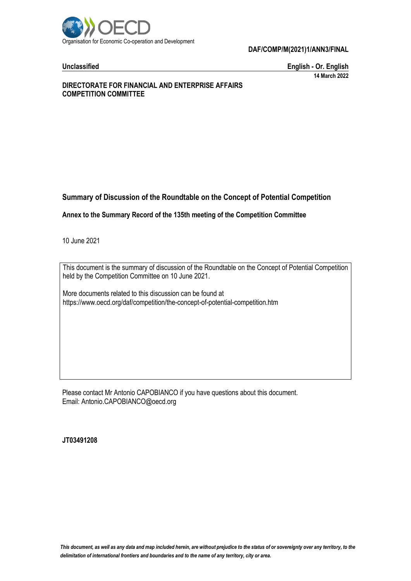

**Unclassified English - Or. English 14 March 2022**

# **DIRECTORATE FOR FINANCIAL AND ENTERPRISE AFFAIRS COMPETITION COMMITTEE**

# **Summary of Discussion of the Roundtable on the Concept of Potential Competition**

**Annex to the Summary Record of the 135th meeting of the Competition Committee**

10 June 2021

This document is the summary of discussion of the Roundtable on the Concept of Potential Competition held by the Competition Committee on 10 June 2021.

More documents related to this discussion can be found at https://www.oecd.org/daf/competition/the-concept-of-potential-competition.htm

Please contact Mr Antonio CAPOBIANCO if you have questions about this document. Email: Antonio.CAPOBIANCO@oecd.org

**JT03491208**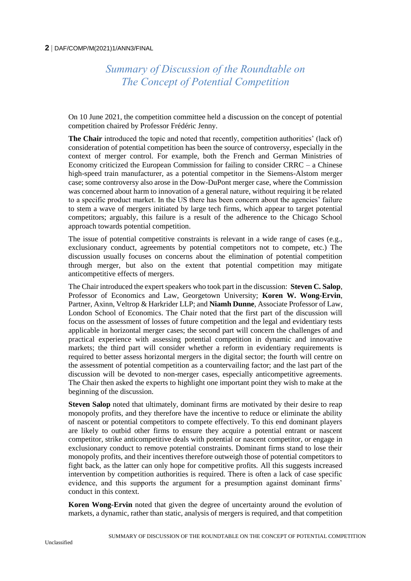# *Summary of Discussion of the Roundtable on The Concept of Potential Competition*

On 10 June 2021, the competition committee held a discussion on the concept of potential competition chaired by Professor Frédéric Jenny.

**The Chair** introduced the topic and noted that recently, competition authorities' (lack of) consideration of potential competition has been the source of controversy, especially in the context of merger control. For example, both the French and German Ministries of Economy criticized the European Commission for failing to consider  $CRRC - a$  Chinese high-speed train manufacturer, as a potential competitor in the Siemens-Alstom merger case; some controversy also arose in the Dow-DuPont merger case, where the Commission was concerned about harm to innovation of a general nature, without requiring it be related to a specific product market. In the US there has been concern about the agencies' failure to stem a wave of mergers initiated by large tech firms, which appear to target potential competitors; arguably, this failure is a result of the adherence to the Chicago School approach towards potential competition.

The issue of potential competitive constraints is relevant in a wide range of cases (e.g., exclusionary conduct, agreements by potential competitors not to compete, etc.) The discussion usually focuses on concerns about the elimination of potential competition through merger, but also on the extent that potential competition may mitigate anticompetitive effects of mergers.

The Chair introduced the expert speakers who took part in the discussion: **Steven C. Salop**, Professor of Economics and Law, Georgetown University; **Koren W. Wong-Ervin**, Partner, Axinn, Veltrop & Harkrider LLP; and **Niamh Dunne**, Associate Professor of Law, London School of Economics. The Chair noted that the first part of the discussion will focus on the assessment of losses of future competition and the legal and evidentiary tests applicable in horizontal merger cases; the second part will concern the challenges of and practical experience with assessing potential competition in dynamic and innovative markets; the third part will consider whether a reform in evidentiary requirements is required to better assess horizontal mergers in the digital sector; the fourth will centre on the assessment of potential competition as a countervailing factor; and the last part of the discussion will be devoted to non-merger cases, especially anticompetitive agreements. The Chair then asked the experts to highlight one important point they wish to make at the beginning of the discussion.

**Steven Salop** noted that ultimately, dominant firms are motivated by their desire to reap monopoly profits, and they therefore have the incentive to reduce or eliminate the ability of nascent or potential competitors to compete effectively. To this end dominant players are likely to outbid other firms to ensure they acquire a potential entrant or nascent competitor, strike anticompetitive deals with potential or nascent competitor, or engage in exclusionary conduct to remove potential constraints. Dominant firms stand to lose their monopoly profits, and their incentives therefore outweigh those of potential competitors to fight back, as the latter can only hope for competitive profits. All this suggests increased intervention by competition authorities is required. There is often a lack of case specific evidence, and this supports the argument for a presumption against dominant firms' conduct in this context.

**Koren Wong-Ervin** noted that given the degree of uncertainty around the evolution of markets, a dynamic, rather than static, analysis of mergers is required, and that competition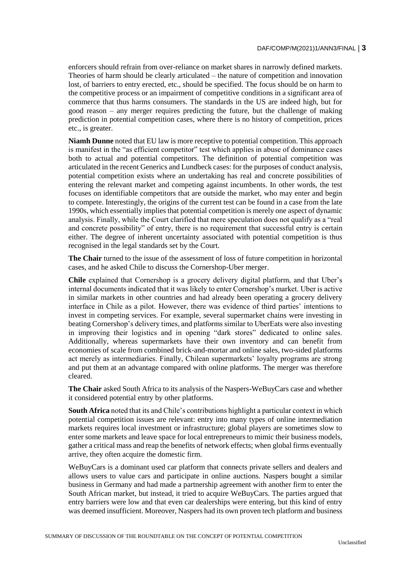enforcers should refrain from over-reliance on market shares in narrowly defined markets. Theories of harm should be clearly articulated – the nature of competition and innovation lost, of barriers to entry erected, etc., should be specified. The focus should be on harm to the competitive process or an impairment of competitive conditions in a significant area of commerce that thus harms consumers. The standards in the US are indeed high, but for good reason – any merger requires predicting the future, but the challenge of making prediction in potential competition cases, where there is no history of competition, prices etc., is greater.

**Niamh Dunne** noted that EU law is more receptive to potential competition. This approach is manifest in the "as efficient competitor" test which applies in abuse of dominance cases both to actual and potential competitors. The definition of potential competition was articulated in the recent Generics and Lundbeck cases: for the purposes of conduct analysis, potential competition exists where an undertaking has real and concrete possibilities of entering the relevant market and competing against incumbents. In other words, the test focuses on identifiable competitors that are outside the market, who may enter and begin to compete. Interestingly, the origins of the current test can be found in a case from the late 1990s, which essentially implies that potential competition is merely one aspect of dynamic analysis. Finally, while the Court clarified that mere speculation does not qualify as a "real and concrete possibility" of entry, there is no requirement that successful entry is certain either. The degree of inherent uncertainty associated with potential competition is thus recognised in the legal standards set by the Court.

**The Chair** turned to the issue of the assessment of loss of future competition in horizontal cases, and he asked Chile to discuss the Cornershop-Uber merger.

**Chile** explained that Cornershop is a grocery delivery digital platform, and that Uber's internal documents indicated that it was likely to enter Cornershop's market. Uber is active in similar markets in other countries and had already been operating a grocery delivery interface in Chile as a pilot. However, there was evidence of third parties' intentions to invest in competing services. For example, several supermarket chains were investing in beating Cornershop's delivery times, and platforms similar to UberEats were also investing in improving their logistics and in opening "dark stores" dedicated to online sales. Additionally, whereas supermarkets have their own inventory and can benefit from economies of scale from combined brick-and-mortar and online sales, two-sided platforms act merely as intermediaries. Finally, Chilean supermarkets' loyalty programs are strong and put them at an advantage compared with online platforms. The merger was therefore cleared.

**The Chair** asked South Africa to its analysis of the Naspers-WeBuyCars case and whether it considered potential entry by other platforms.

**South Africa** noted that its and Chile's contributions highlight a particular context in which potential competition issues are relevant: entry into many types of online intermediation markets requires local investment or infrastructure; global players are sometimes slow to enter some markets and leave space for local entrepreneurs to mimic their business models, gather a critical mass and reap the benefits of network effects; when global firms eventually arrive, they often acquire the domestic firm.

WeBuyCars is a dominant used car platform that connects private sellers and dealers and allows users to value cars and participate in online auctions. Naspers bought a similar business in Germany and had made a partnership agreement with another firm to enter the South African market, but instead, it tried to acquire WeBuyCars. The parties argued that entry barriers were low and that even car dealerships were entering, but this kind of entry was deemed insufficient. Moreover, Naspers had its own proven tech platform and business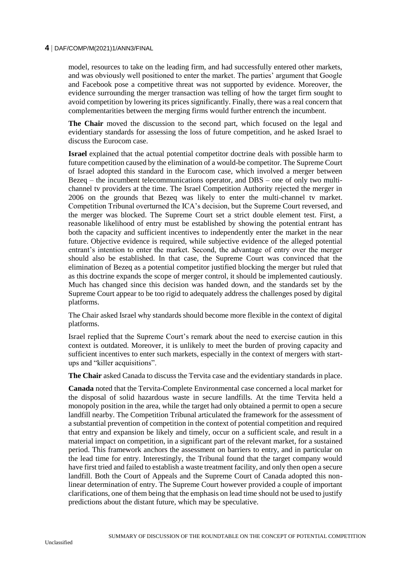model, resources to take on the leading firm, and had successfully entered other markets, and was obviously well positioned to enter the market. The parties' argument that Google and Facebook pose a competitive threat was not supported by evidence. Moreover, the evidence surrounding the merger transaction was telling of how the target firm sought to avoid competition by lowering its prices significantly. Finally, there was a real concern that complementarities between the merging firms would further entrench the incumbent.

**The Chair** moved the discussion to the second part, which focused on the legal and evidentiary standards for assessing the loss of future competition, and he asked Israel to discuss the Eurocom case.

**Israel** explained that the actual potential competitor doctrine deals with possible harm to future competition caused by the elimination of a would-be competitor. The Supreme Court of Israel adopted this standard in the Eurocom case, which involved a merger between Bezeq – the incumbent telecommunications operator, and DBS – one of only two multichannel tv providers at the time. The Israel Competition Authority rejected the merger in 2006 on the grounds that Bezeq was likely to enter the multi-channel tv market. Competition Tribunal overturned the ICA's decision, but the Supreme Court reversed, and the merger was blocked. The Supreme Court set a strict double element test. First, a reasonable likelihood of entry must be established by showing the potential entrant has both the capacity and sufficient incentives to independently enter the market in the near future. Objective evidence is required, while subjective evidence of the alleged potential entrant's intention to enter the market. Second, the advantage of entry over the merger should also be established. In that case, the Supreme Court was convinced that the elimination of Bezeq as a potential competitor justified blocking the merger but ruled that as this doctrine expands the scope of merger control, it should be implemented cautiously. Much has changed since this decision was handed down, and the standards set by the Supreme Court appear to be too rigid to adequately address the challenges posed by digital platforms.

The Chair asked Israel why standards should become more flexible in the context of digital platforms.

Israel replied that the Supreme Court's remark about the need to exercise caution in this context is outdated. Moreover, it is unlikely to meet the burden of proving capacity and sufficient incentives to enter such markets, especially in the context of mergers with startups and "killer acquisitions".

**The Chair** asked Canada to discuss the Tervita case and the evidentiary standards in place.

**Canada** noted that the Tervita-Complete Environmental case concerned a local market for the disposal of solid hazardous waste in secure landfills. At the time Tervita held a monopoly position in the area, while the target had only obtained a permit to open a secure landfill nearby. The Competition Tribunal articulated the framework for the assessment of a substantial prevention of competition in the context of potential competition and required that entry and expansion be likely and timely, occur on a sufficient scale, and result in a material impact on competition, in a significant part of the relevant market, for a sustained period. This framework anchors the assessment on barriers to entry, and in particular on the lead time for entry. Interestingly, the Tribunal found that the target company would have first tried and failed to establish a waste treatment facility, and only then open a secure landfill. Both the Court of Appeals and the Supreme Court of Canada adopted this nonlinear determination of entry. The Supreme Court however provided a couple of important clarifications, one of them being that the emphasis on lead time should not be used to justify predictions about the distant future, which may be speculative.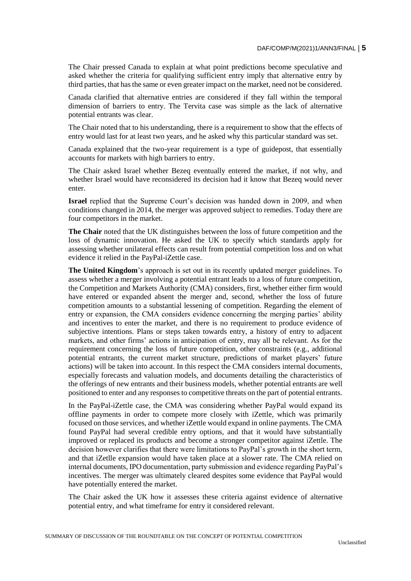The Chair pressed Canada to explain at what point predictions become speculative and asked whether the criteria for qualifying sufficient entry imply that alternative entry by third parties, that has the same or even greater impact on the market, need not be considered.

Canada clarified that alternative entries are considered if they fall within the temporal dimension of barriers to entry. The Tervita case was simple as the lack of alternative potential entrants was clear.

The Chair noted that to his understanding, there is a requirement to show that the effects of entry would last for at least two years, and he asked why this particular standard was set.

Canada explained that the two-year requirement is a type of guidepost, that essentially accounts for markets with high barriers to entry.

The Chair asked Israel whether Bezeq eventually entered the market, if not why, and whether Israel would have reconsidered its decision had it know that Bezeq would never enter.

**Israel** replied that the Supreme Court's decision was handed down in 2009, and when conditions changed in 2014, the merger was approved subject to remedies. Today there are four competitors in the market.

**The Chair** noted that the UK distinguishes between the loss of future competition and the loss of dynamic innovation. He asked the UK to specify which standards apply for assessing whether unilateral effects can result from potential competition loss and on what evidence it relied in the PayPal-iZettle case.

**The United Kingdom**'s approach is set out in its recently updated merger guidelines. To assess whether a merger involving a potential entrant leads to a loss of future competition, the Competition and Markets Authority (CMA) considers, first, whether either firm would have entered or expanded absent the merger and, second, whether the loss of future competition amounts to a substantial lessening of competition. Regarding the element of entry or expansion, the CMA considers evidence concerning the merging parties' ability and incentives to enter the market, and there is no requirement to produce evidence of subjective intentions. Plans or steps taken towards entry, a history of entry to adjacent markets, and other firms' actions in anticipation of entry, may all be relevant. As for the requirement concerning the loss of future competition, other constraints (e.g., additional potential entrants, the current market structure, predictions of market players' future actions) will be taken into account. In this respect the CMA considers internal documents, especially forecasts and valuation models, and documents detailing the characteristics of the offerings of new entrants and their business models, whether potential entrants are well positioned to enter and any responses to competitive threats on the part of potential entrants.

In the PayPal-iZettle case, the CMA was considering whether PayPal would expand its offline payments in order to compete more closely with iZettle, which was primarily focused on those services, and whether iZettle would expand in online payments. The CMA found PayPal had several credible entry options, and that it would have substantially improved or replaced its products and become a stronger competitor against iZettle. The decision however clarifies that there were limitations to PayPal's growth in the short term, and that iZetlle expansion would have taken place at a slower rate. The CMA relied on internal documents, IPO documentation, party submission and evidence regarding PayPal's incentives. The merger was ultimately cleared despites some evidence that PayPal would have potentially entered the market.

The Chair asked the UK how it assesses these criteria against evidence of alternative potential entry, and what timeframe for entry it considered relevant.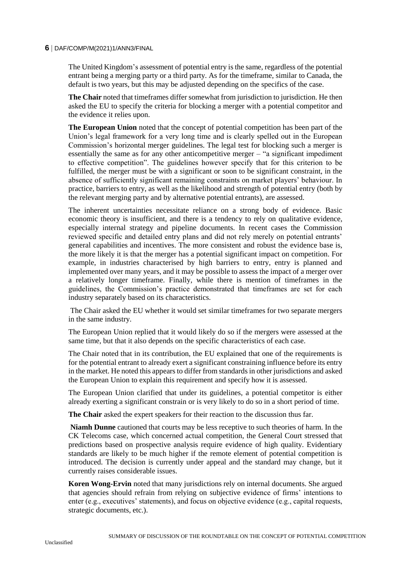The United Kingdom's assessment of potential entry is the same, regardless of the potential entrant being a merging party or a third party. As for the timeframe, similar to Canada, the default is two years, but this may be adjusted depending on the specifics of the case.

**The Chair** noted that timeframes differ somewhat from jurisdiction to jurisdiction. He then asked the EU to specify the criteria for blocking a merger with a potential competitor and the evidence it relies upon.

**The European Union** noted that the concept of potential competition has been part of the Union's legal framework for a very long time and is clearly spelled out in the European Commission's horizontal merger guidelines. The legal test for blocking such a merger is essentially the same as for any other anticompetitive merger – "a significant impediment to effective competition". The guidelines however specify that for this criterion to be fulfilled, the merger must be with a significant or soon to be significant constraint, in the absence of sufficiently significant remaining constraints on market players' behaviour. In practice, barriers to entry, as well as the likelihood and strength of potential entry (both by the relevant merging party and by alternative potential entrants), are assessed.

The inherent uncertainties necessitate reliance on a strong body of evidence. Basic economic theory is insufficient, and there is a tendency to rely on qualitative evidence, especially internal strategy and pipeline documents. In recent cases the Commission reviewed specific and detailed entry plans and did not rely merely on potential entrants' general capabilities and incentives. The more consistent and robust the evidence base is, the more likely it is that the merger has a potential significant impact on competition. For example, in industries characterised by high barriers to entry, entry is planned and implemented over many years, and it may be possible to assess the impact of a merger over a relatively longer timeframe. Finally, while there is mention of timeframes in the guidelines, the Commission's practice demonstrated that timeframes are set for each industry separately based on its characteristics.

The Chair asked the EU whether it would set similar timeframes for two separate mergers in the same industry.

The European Union replied that it would likely do so if the mergers were assessed at the same time, but that it also depends on the specific characteristics of each case.

The Chair noted that in its contribution, the EU explained that one of the requirements is for the potential entrant to already exert a significant constraining influence before its entry in the market. He noted this appears to differ from standards in other jurisdictions and asked the European Union to explain this requirement and specify how it is assessed.

The European Union clarified that under its guidelines, a potential competitor is either already exerting a significant constrain or is very likely to do so in a short period of time.

**The Chair** asked the expert speakers for their reaction to the discussion thus far.

**Niamh Dunne** cautioned that courts may be less receptive to such theories of harm. In the CK Telecoms case, which concerned actual competition, the General Court stressed that predictions based on prospective analysis require evidence of high quality. Evidentiary standards are likely to be much higher if the remote element of potential competition is introduced. The decision is currently under appeal and the standard may change, but it currently raises considerable issues.

**Koren Wong-Ervin** noted that many jurisdictions rely on internal documents. She argued that agencies should refrain from relying on subjective evidence of firms' intentions to enter (e.g., executives' statements), and focus on objective evidence (e.g., capital requests, strategic documents, etc.).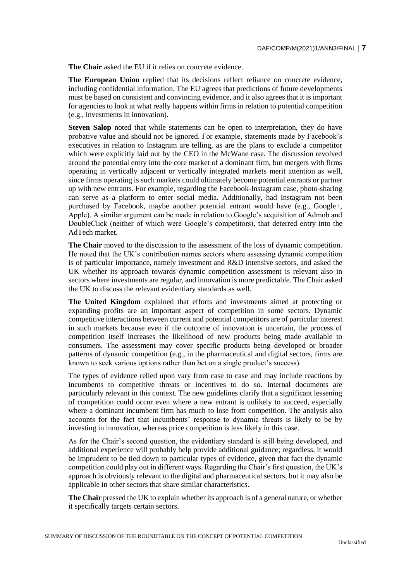**The Chair** asked the EU if it relies on concrete evidence.

**The European Union** replied that its decisions reflect reliance on concrete evidence, including confidential information. The EU agrees that predictions of future developments must be based on consistent and convincing evidence, and it also agrees that it is important for agencies to look at what really happens within firms in relation to potential competition (e.g., investments in innovation).

**Steven Salop** noted that while statements can be open to interpretation, they do have probative value and should not be ignored. For example, statements made by Facebook's executives in relation to Instagram are telling, as are the plans to exclude a competitor which were explicitly laid out by the CEO in the McWane case. The discussion revolved around the potential entry into the core market of a dominant firm, but mergers with firms operating in vertically adjacent or vertically integrated markets merit attention as well, since firms operating is such markets could ultimately become potential entrants or partner up with new entrants. For example, regarding the Facebook-Instagram case, photo-sharing can serve as a platform to enter social media. Additionally, had Instagram not been purchased by Facebook, maybe another potential entrant would have (e.g., Google+, Apple). A similar argument can be made in relation to Google's acquisition of Admob and DoubleClick (neither of which were Google's competitors), that deterred entry into the AdTech market.

**The Chair** moved to the discussion to the assessment of the loss of dynamic competition. He noted that the UK's contribution names sectors where assessing dynamic competition is of particular importance, namely investment and R&D intensive sectors, and asked the UK whether its approach towards dynamic competition assessment is relevant also in sectors where investments are regular, and innovation is more predictable. The Chair asked the UK to discuss the relevant evidentiary standards as well.

**The United Kingdom** explained that efforts and investments aimed at protecting or expanding profits are an important aspect of competition in some sectors. Dynamic competitive interactions between current and potential competitors are of particular interest in such markets because even if the outcome of innovation is uncertain, the process of competition itself increases the likelihood of new products being made available to consumers. The assessment may cover specific products being developed or broader patterns of dynamic competition (e.g., in the pharmaceutical and digital sectors, firms are known to seek various options rather than bet on a single product's success).

The types of evidence relied upon vary from case to case and may include reactions by incumbents to competitive threats or incentives to do so. Internal documents are particularly relevant in this context. The new guidelines clarify that a significant lessening of competition could occur even where a new entrant is unlikely to succeed, especially where a dominant incumbent firm has much to lose from competition. The analysis also accounts for the fact that incumbents' response to dynamic threats is likely to be by investing in innovation, whereas price competition is less likely in this case.

As for the Chair's second question, the evidentiary standard is still being developed, and additional experience will probably help provide additional guidance; regardless, it would be imprudent to be tied down to particular types of evidence, given that fact the dynamic competition could play out in different ways. Regarding the Chair's first question, the UK's approach is obviously relevant to the digital and pharmaceutical sectors, but it may also be applicable in other sectors that share similar characteristics.

**The Chair** pressed the UK to explain whether its approach is of a general nature, or whether it specifically targets certain sectors.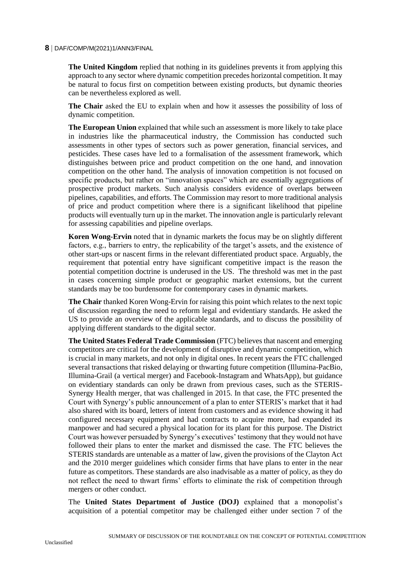**The United Kingdom** replied that nothing in its guidelines prevents it from applying this approach to any sector where dynamic competition precedes horizontal competition. It may be natural to focus first on competition between existing products, but dynamic theories can be nevertheless explored as well.

**The Chair** asked the EU to explain when and how it assesses the possibility of loss of dynamic competition.

**The European Union** explained that while such an assessment is more likely to take place in industries like the pharmaceutical industry, the Commission has conducted such assessments in other types of sectors such as power generation, financial services, and pesticides. These cases have led to a formalisation of the assessment framework, which distinguishes between price and product competition on the one hand, and innovation competition on the other hand. The analysis of innovation competition is not focused on specific products, but rather on "innovation spaces" which are essentially aggregations of prospective product markets. Such analysis considers evidence of overlaps between pipelines, capabilities, and efforts. The Commission may resort to more traditional analysis of price and product competition where there is a significant likelihood that pipeline products will eventually turn up in the market. The innovation angle is particularly relevant for assessing capabilities and pipeline overlaps.

**Koren Wong-Ervin** noted that in dynamic markets the focus may be on slightly different factors, e.g., barriers to entry, the replicability of the target's assets, and the existence of other start-ups or nascent firms in the relevant differentiated product space. Arguably, the requirement that potential entry have significant competitive impact is the reason the potential competition doctrine is underused in the US. The threshold was met in the past in cases concerning simple product or geographic market extensions, but the current standards may be too burdensome for contemporary cases in dynamic markets.

**The Chair** thanked Koren Wong-Ervin for raising this point which relates to the next topic of discussion regarding the need to reform legal and evidentiary standards. He asked the US to provide an overview of the applicable standards, and to discuss the possibility of applying different standards to the digital sector.

**The United States Federal Trade Commission** (FTC) believes that nascent and emerging competitors are critical for the development of disruptive and dynamic competition, which is crucial in many markets, and not only in digital ones. In recent years the FTC challenged several transactions that risked delaying or thwarting future competition (Illumina-PacBio, Illumina-Grail (a vertical merger) and Facebook-Instagram and WhatsApp), but guidance on evidentiary standards can only be drawn from previous cases, such as the STERIS-Synergy Health merger, that was challenged in 2015. In that case, the FTC presented the Court with Synergy's public announcement of a plan to enter STERIS's market that it had also shared with its board, letters of intent from customers and as evidence showing it had configured necessary equipment and had contracts to acquire more, had expanded its manpower and had secured a physical location for its plant for this purpose. The District Court was however persuaded by Synergy's executives' testimony that they would not have followed their plans to enter the market and dismissed the case. The FTC believes the STERIS standards are untenable as a matter of law, given the provisions of the Clayton Act and the 2010 merger guidelines which consider firms that have plans to enter in the near future as competitors. These standards are also inadvisable as a matter of policy, as they do not reflect the need to thwart firms' efforts to eliminate the risk of competition through mergers or other conduct.

The **United States Department of Justice (DOJ)** explained that a monopolist's acquisition of a potential competitor may be challenged either under section 7 of the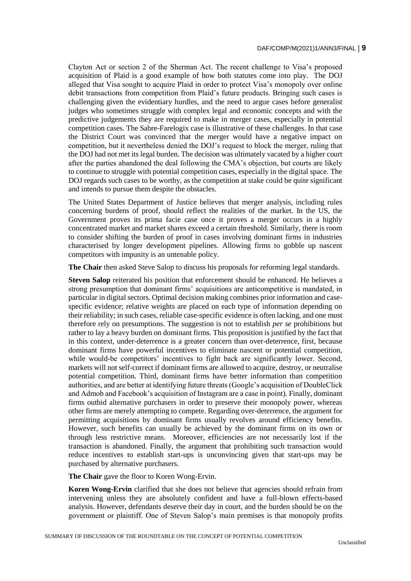Clayton Act or section 2 of the Sherman Act. The recent challenge to Visa's proposed acquisition of Plaid is a good example of how both statutes come into play. The DOJ alleged that Visa sought to acquire Plaid in order to protect Visa's monopoly over online debit transactions from competition from Plaid's future products. Bringing such cases is challenging given the evidentiary hurdles, and the need to argue cases before generalist judges who sometimes struggle with complex legal and economic concepts and with the predictive judgements they are required to make in merger cases, especially in potential competition cases. The Sabre-Farelogix case is illustrative of these challenges. In that case the District Court was convinced that the merger would have a negative impact on competition, but it nevertheless denied the DOJ's request to block the merger, ruling that the DOJ had not met its legal burden. The decision was ultimately vacated by a higher court after the parties abandoned the deal following the CMA's objection, but courts are likely to continue to struggle with potential competition cases, especially in the digital space. The DOJ regards such cases to be worthy, as the competition at stake could be quite significant and intends to pursue them despite the obstacles.

The United States Department of Justice believes that merger analysis, including rules concerning burdens of proof, should reflect the realities of the market. In the US, the Government proves its prima facie case once it proves a merger occurs in a highly concentrated market and market shares exceed a certain threshold. Similarly, there is room to consider shifting the burden of proof in cases involving dominant firms in industries characterised by longer development pipelines. Allowing firms to gobble up nascent competitors with impunity is an untenable policy.

**The Chair** then asked Steve Salop to discuss his proposals for reforming legal standards.

**Steven Salop** reiterated his position that enforcement should be enhanced. He believes a strong presumption that dominant firms' acquisitions are anticompetitive is mandated, in particular in digital sectors. Optimal decision making combines prior information and casespecific evidence; relative weights are placed on each type of information depending on their reliability; in such cases, reliable case-specific evidence is often lacking, and one must therefore rely on presumptions. The suggestion is not to establish *per se* prohibitions but rather to lay a heavy burden on dominant firms. This proposition is justified by the fact that in this context, under-deterrence is a greater concern than over-deterrence, first, because dominant firms have powerful incentives to eliminate nascent or potential competition, while would-be competitors' incentives to fight back are significantly lower. Second, markets will not self-correct if dominant firms are allowed to acquire, destroy, or neutralise potential competition. Third, dominant firms have better information than competition authorities, and are better at identifying future threats (Google's acquisition of DoubleClick and Admob and Facebook's acquisition of Instagram are a case in point). Finally, dominant firms outbid alternative purchasers in order to preserve their monopoly power, whereas other firms are merely attempting to compete. Regarding over-deterrence, the argument for permitting acquisitions by dominant firms usually revolves around efficiency benefits. However, such benefits can usually be achieved by the dominant firms on its own or through less restrictive means. Moreover, efficiencies are not necessarily lost if the transaction is abandoned. Finally, the argument that prohibiting such transaction would reduce incentives to establish start-ups is unconvincing given that start-ups may be purchased by alternative purchasers.

**The Chair** gave the floor to Koren Wong-Ervin.

**Koren Wong-Ervin** clarified that she does not believe that agencies should refrain from intervening unless they are absolutely confident and have a full-blown effects-based analysis. However, defendants deserve their day in court, and the burden should be on the government or plaintiff. One of Steven Salop's main premises is that monopoly profits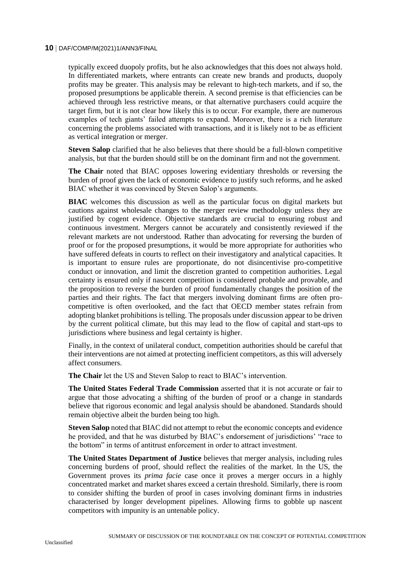typically exceed duopoly profits, but he also acknowledges that this does not always hold. In differentiated markets, where entrants can create new brands and products, duopoly profits may be greater. This analysis may be relevant to high-tech markets, and if so, the proposed presumptions be applicable therein. A second premise is that efficiencies can be achieved through less restrictive means, or that alternative purchasers could acquire the target firm, but it is not clear how likely this is to occur. For example, there are numerous examples of tech giants' failed attempts to expand. Moreover, there is a rich literature concerning the problems associated with transactions, and it is likely not to be as efficient as vertical integration or merger.

**Steven Salop** clarified that he also believes that there should be a full-blown competitive analysis, but that the burden should still be on the dominant firm and not the government.

**The Chair** noted that BIAC opposes lowering evidentiary thresholds or reversing the burden of proof given the lack of economic evidence to justify such reforms, and he asked BIAC whether it was convinced by Steven Salop's arguments.

**BIAC** welcomes this discussion as well as the particular focus on digital markets but cautions against wholesale changes to the merger review methodology unless they are justified by cogent evidence. Objective standards are crucial to ensuring robust and continuous investment. Mergers cannot be accurately and consistently reviewed if the relevant markets are not understood. Rather than advocating for reversing the burden of proof or for the proposed presumptions, it would be more appropriate for authorities who have suffered defeats in courts to reflect on their investigatory and analytical capacities. It is important to ensure rules are proportionate, do not disincentivise pro-competitive conduct or innovation, and limit the discretion granted to competition authorities. Legal certainty is ensured only if nascent competition is considered probable and provable, and the proposition to reverse the burden of proof fundamentally changes the position of the parties and their rights. The fact that mergers involving dominant firms are often procompetitive is often overlooked, and the fact that OECD member states refrain from adopting blanket prohibitions is telling. The proposals under discussion appear to be driven by the current political climate, but this may lead to the flow of capital and start-ups to jurisdictions where business and legal certainty is higher.

Finally, in the context of unilateral conduct, competition authorities should be careful that their interventions are not aimed at protecting inefficient competitors, as this will adversely affect consumers.

**The Chair** let the US and Steven Salop to react to BIAC's intervention.

**The United States Federal Trade Commission** asserted that it is not accurate or fair to argue that those advocating a shifting of the burden of proof or a change in standards believe that rigorous economic and legal analysis should be abandoned. Standards should remain objective albeit the burden being too high.

**Steven Salop** noted that BIAC did not attempt to rebut the economic concepts and evidence he provided, and that he was disturbed by BIAC's endorsement of jurisdictions' "race to the bottom" in terms of antitrust enforcement in order to attract investment.

**The United States Department of Justice** believes that merger analysis, including rules concerning burdens of proof, should reflect the realities of the market. In the US, the Government proves its *prima facie* case once it proves a merger occurs in a highly concentrated market and market shares exceed a certain threshold. Similarly, there is room to consider shifting the burden of proof in cases involving dominant firms in industries characterised by longer development pipelines. Allowing firms to gobble up nascent competitors with impunity is an untenable policy.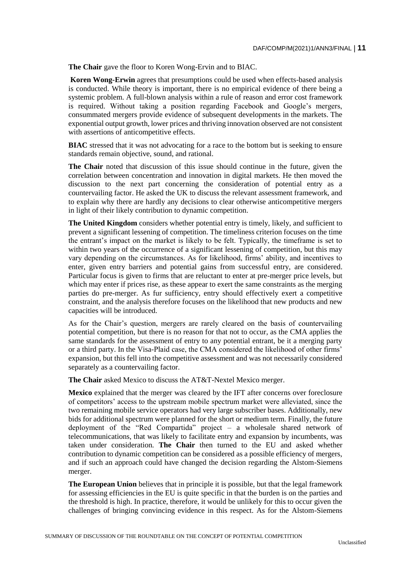**The Chair** gave the floor to Koren Wong-Ervin and to BIAC.

**Koren Wong-Erwin** agrees that presumptions could be used when effects-based analysis is conducted. While theory is important, there is no empirical evidence of there being a systemic problem. A full-blown analysis within a rule of reason and error cost framework is required. Without taking a position regarding Facebook and Google's mergers, consummated mergers provide evidence of subsequent developments in the markets. The exponential output growth, lower prices and thriving innovation observed are not consistent with assertions of anticompetitive effects.

**BIAC** stressed that it was not advocating for a race to the bottom but is seeking to ensure standards remain objective, sound, and rational.

**The Chair** noted that discussion of this issue should continue in the future, given the correlation between concentration and innovation in digital markets. He then moved the discussion to the next part concerning the consideration of potential entry as a countervailing factor. He asked the UK to discuss the relevant assessment framework, and to explain why there are hardly any decisions to clear otherwise anticompetitive mergers in light of their likely contribution to dynamic competition.

**The United Kingdom** considers whether potential entry is timely, likely, and sufficient to prevent a significant lessening of competition. The timeliness criterion focuses on the time the entrant's impact on the market is likely to be felt. Typically, the timeframe is set to within two years of the occurrence of a significant lessening of competition, but this may vary depending on the circumstances. As for likelihood, firms' ability, and incentives to enter, given entry barriers and potential gains from successful entry, are considered. Particular focus is given to firms that are reluctant to enter at pre-merger price levels, but which may enter if prices rise, as these appear to exert the same constraints as the merging parties do pre-merger. As fur sufficiency, entry should effectively exert a competitive constraint, and the analysis therefore focuses on the likelihood that new products and new capacities will be introduced.

As for the Chair's question, mergers are rarely cleared on the basis of countervailing potential competition, but there is no reason for that not to occur, as the CMA applies the same standards for the assessment of entry to any potential entrant, be it a merging party or a third party. In the Visa-Plaid case, the CMA considered the likelihood of other firms' expansion, but this fell into the competitive assessment and was not necessarily considered separately as a countervailing factor.

**The Chair** asked Mexico to discuss the AT&T-Nextel Mexico merger.

**Mexico** explained that the merger was cleared by the IFT after concerns over foreclosure of competitors' access to the upstream mobile spectrum market were alleviated, since the two remaining mobile service operators had very large subscriber bases. Additionally, new bids for additional spectrum were planned for the short or medium term. Finally, the future deployment of the "Red Compartida" project – a wholesale shared network of telecommunications, that was likely to facilitate entry and expansion by incumbents, was taken under consideration. **The Chair** then turned to the EU and asked whether contribution to dynamic competition can be considered as a possible efficiency of mergers, and if such an approach could have changed the decision regarding the Alstom-Siemens merger.

**The European Union** believes that in principle it is possible, but that the legal framework for assessing efficiencies in the EU is quite specific in that the burden is on the parties and the threshold is high. In practice, therefore, it would be unlikely for this to occur given the challenges of bringing convincing evidence in this respect. As for the Alstom-Siemens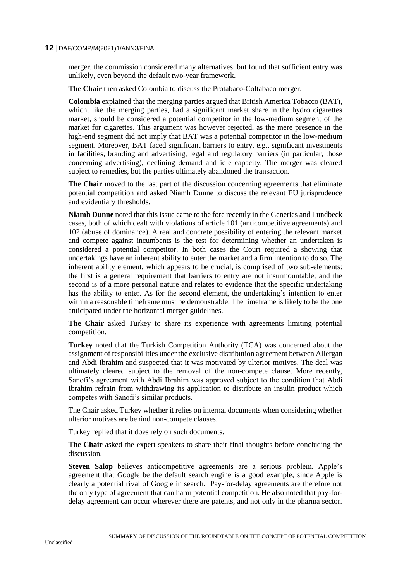merger, the commission considered many alternatives, but found that sufficient entry was unlikely, even beyond the default two-year framework.

**The Chair** then asked Colombia to discuss the Protabaco-Coltabaco merger.

**Colombia** explained that the merging parties argued that British America Tobacco (BAT), which, like the merging parties, had a significant market share in the hydro cigarettes market, should be considered a potential competitor in the low-medium segment of the market for cigarettes. This argument was however rejected, as the mere presence in the high-end segment did not imply that BAT was a potential competitor in the low-medium segment. Moreover, BAT faced significant barriers to entry, e.g., significant investments in facilities, branding and advertising, legal and regulatory barriers (in particular, those concerning advertising), declining demand and idle capacity. The merger was cleared subject to remedies, but the parties ultimately abandoned the transaction.

**The Chair** moved to the last part of the discussion concerning agreements that eliminate potential competition and asked Niamh Dunne to discuss the relevant EU jurisprudence and evidentiary thresholds.

**Niamh Dunne** noted that this issue came to the fore recently in the Generics and Lundbeck cases, both of which dealt with violations of article 101 (anticompetitive agreements) and 102 (abuse of dominance). A real and concrete possibility of entering the relevant market and compete against incumbents is the test for determining whether an undertaken is considered a potential competitor. In both cases the Court required a showing that undertakings have an inherent ability to enter the market and a firm intention to do so. The inherent ability element, which appears to be crucial, is comprised of two sub-elements: the first is a general requirement that barriers to entry are not insurmountable; and the second is of a more personal nature and relates to evidence that the specific undertaking has the ability to enter. As for the second element, the undertaking's intention to enter within a reasonable timeframe must be demonstrable. The timeframe is likely to be the one anticipated under the horizontal merger guidelines.

**The Chair** asked Turkey to share its experience with agreements limiting potential competition.

**Turkey** noted that the Turkish Competition Authority (TCA) was concerned about the assignment of responsibilities under the exclusive distribution agreement between Allergan and Abdi Ibrahim and suspected that it was motivated by ulterior motives. The deal was ultimately cleared subject to the removal of the non-compete clause. More recently, Sanofi's agreement with Abdi Ibrahim was approved subject to the condition that Abdi Ibrahim refrain from withdrawing its application to distribute an insulin product which competes with Sanofi's similar products.

The Chair asked Turkey whether it relies on internal documents when considering whether ulterior motives are behind non-compete clauses.

Turkey replied that it does rely on such documents.

**The Chair** asked the expert speakers to share their final thoughts before concluding the discussion.

**Steven Salop** believes anticompetitive agreements are a serious problem. Apple's agreement that Google be the default search engine is a good example, since Apple is clearly a potential rival of Google in search. Pay-for-delay agreements are therefore not the only type of agreement that can harm potential competition. He also noted that pay-fordelay agreement can occur wherever there are patents, and not only in the pharma sector.